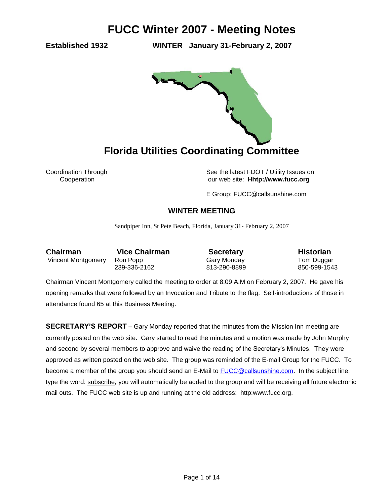**Established 1932 WINTER January 31-February 2, 2007** 



Coordination Through See the latest FDOT / Utility Issues on Cooperation our web site: **Hhtp://www.fucc.org**

E Group: FUCC@callsunshine.com

### **WINTER MEETING**

Sandpiper Inn, St Pete Beach, Florida, January 31- February 2, 2007

**Chairman** Vice Chairman **Secretary Historian** Vincent Montgomery Ron Popp Gary Monday Gary Monday Tom Duggar

239-336-2162 813-290-8899 850-599-1543

Chairman Vincent Montgomery called the meeting to order at 8:09 A.M on February 2, 2007. He gave his opening remarks that were followed by an Invocation and Tribute to the flag. Self-introductions of those in attendance found 65 at this Business Meeting.

**SECRETARY'S REPORT –** Gary Monday reported that the minutes from the Mission Inn meeting are currently posted on the web site. Gary started to read the minutes and a motion was made by John Murphy and second by several members to approve and waive the reading of the Secretary's Minutes. They were approved as written posted on the web site. The group was reminded of the E-mail Group for the FUCC. To become a member of the group you should send an E-Mail to **FUCC@callsunshine.com.** In the subject line, type the word: subscribe, you will automatically be added to the group and will be receiving all future electronic mail outs. The FUCC web site is up and running at the old address: http:www.fucc.org.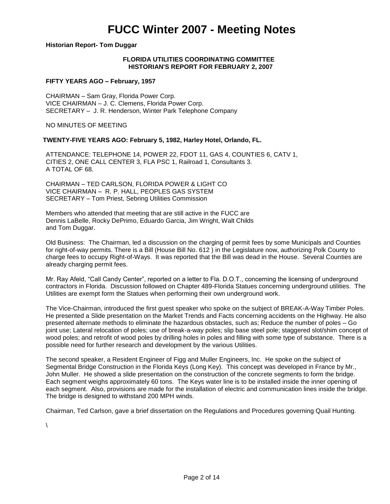### **Historian Report- Tom Duggar**

### **FLORIDA UTILITIES COORDINATING COMMITTEE HISTORIAN'S REPORT FOR FEBRUARY 2, 2007**

### **FIFTY YEARS AGO – February, 1957**

CHAIRMAN – Sam Gray, Florida Power Corp. VICE CHAIRMAN – J. C. Clemens, Florida Power Corp. SECRETARY – J. R. Henderson, Winter Park Telephone Company

NO MINUTES OF MEETING

### **TWENTY-FIVE YEARS AGO: February 5, 1982, Harley Hotel, Orlando, FL.**

ATTENDANCE: TELEPHONE 14, POWER 22, FDOT 11, GAS 4, COUNTIES 6, CATV 1, CITIES 2, ONE CALL CENTER 3, FLA PSC 1, Railroad 1, Consultants 3. A TOTAL OF 68.

CHAIRMAN – TED CARLSON, FLORIDA POWER & LIGHT CO VICE CHAIRMAN – R. P. HALL, PEOPLES GAS SYSTEM SECRETARY – Tom Priest, Sebring Utilities Commission

Members who attended that meeting that are still active in the FUCC are Dennis LaBelle, Rocky DePrimo, Eduardo Garcia, Jim Wright, Walt Childs and Tom Duggar.

Old Business: The Chairman, led a discussion on the charging of permit fees by some Municipals and Counties for right-of-way permits. There is a Bill (House Bill No. 612 ) in the Legislature now, authorizing Polk County to charge fees to occupy Right-of-Ways. It was reported that the Bill was dead in the House. Several Counties are already charging permit fees.

Mr. Ray Afeld, "Call Candy Center", reported on a letter to Fla. D.O.T., concerning the licensing of underground contractors in Florida. Discussion followed on Chapter 489-Florida Statues concerning underground utilities. The Utilities are exempt form the Statues when performing their own underground work.

The Vice-Chairman, introduced the first guest speaker who spoke on the subject of BREAK-A-Way Timber Poles. He presented a Slide presentation on the Market Trends and Facts concerning accidents on the Highway. He also presented alternate methods to eliminate the hazardous obstacles, such as; Reduce the number of poles – Go joint use; Lateral relocation of poles; use of break-a-way poles; slip base steel pole; staggered slot/shim concept of wood poles; and retrofit of wood poles by drilling holes in poles and filling with some type of substance. There is a possible need for further research and development by the various Utilities.

The second speaker, a Resident Engineer of Figg and Muller Engineers, Inc. He spoke on the subject of Segmental Bridge Construction in the Florida Keys (Long Key). This concept was developed in France by Mr., John Muller. He showed a slide presentation on the construction of the concrete segments to form the bridge. Each segment weighs approximately 60 tons. The Keys water line is to be installed inside the inner opening of each segment. Also, provisions are made for the installation of electric and communication lines inside the bridge. The bridge is designed to withstand 200 MPH winds.

Chairman, Ted Carlson, gave a brief dissertation on the Regulations and Procedures governing Quail Hunting.

 $\lambda$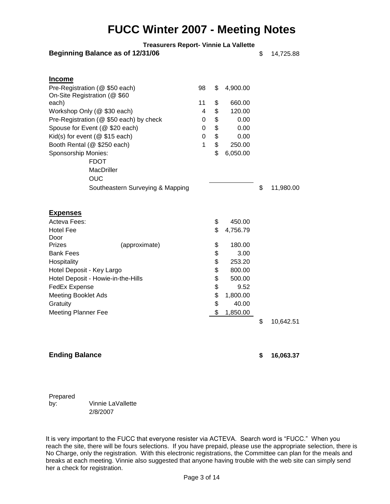| <b>Treasurers Report- Vinnie La Vallette</b> |  |  |  |  |
|----------------------------------------------|--|--|--|--|
|----------------------------------------------|--|--|--|--|

|  | Beginning Balance as of 12/31/06 |  |
|--|----------------------------------|--|
|--|----------------------------------|--|

**Beginning Balance as of 12/31/06** \$ 14,725.88

| <b>Income</b>                           |  |                      |                 |
|-----------------------------------------|--|----------------------|-----------------|
| Pre-Registration (@ \$50 each)          |  | \$<br>4,900.00       |                 |
| On-Site Registration (@ \$60            |  |                      |                 |
| each)                                   |  | \$<br>660.00         |                 |
| Workshop Only (@ \$30 each)             |  | \$<br>120.00         |                 |
| Pre-Registration (@ \$50 each) by check |  | \$<br>0.00           |                 |
| Spouse for Event (@ \$20 each)          |  | \$<br>0.00           |                 |
| Kid(s) for event ( $@$ \$15 each)       |  | \$<br>0.00           |                 |
| Booth Rental (@ \$250 each)             |  | \$<br>250.00         |                 |
| Sponsorship Monies:                     |  | \$<br>6,050.00       |                 |
| <b>FDOT</b>                             |  |                      |                 |
| MacDriller                              |  |                      |                 |
| <b>OUC</b>                              |  |                      |                 |
| Southeastern Surveying & Mapping        |  |                      | \$<br>11,980.00 |
|                                         |  |                      |                 |
| <u>Expenses</u>                         |  |                      |                 |
| Acteva Fees:                            |  | \$<br>450.00         |                 |
| <b>Hotel Fee</b>                        |  | \$<br>4,756.79       |                 |
| Door                                    |  |                      |                 |
| <b>Prizes</b><br>(approximate)          |  | \$<br>180.00<br>3.00 |                 |
| <b>Bank Fees</b>                        |  | \$                   |                 |
| Hospitality                             |  | \$<br>253.20         |                 |
| Hotel Deposit - Key Largo               |  | \$<br>800.00         |                 |
| Hotel Deposit - Howie-in-the-Hills      |  | \$<br>500.00         |                 |
| <b>FedEx Expense</b>                    |  | \$<br>9.52           |                 |
| <b>Meeting Booklet Ads</b>              |  | \$<br>1,800.00       |                 |
| Gratuity                                |  | \$<br>40.00          |                 |
| <b>Meeting Planner Fee</b>              |  | \$<br>1,850.00       |                 |
|                                         |  |                      | \$<br>10,642.51 |
|                                         |  |                      |                 |
|                                         |  |                      |                 |

### **Ending Balance \$ 16,063.37**

Prepared by: Vinnie LaVallette 2/8/2007

It is very important to the FUCC that everyone resister via ACTEVA. Search word is "FUCC." When you reach the site, there will be fours selections. If you have prepaid, please use the appropriate selection, there is No Charge, only the registration. With this electronic registrations, the Committee can plan for the meals and breaks at each meeting. Vinnie also suggested that anyone having trouble with the web site can simply send her a check for registration.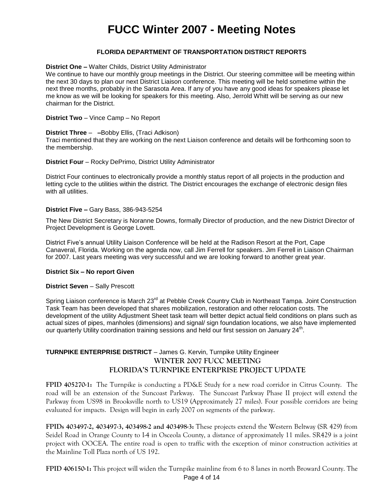### **FLORIDA DEPARTMENT OF TRANSPORTATION DISTRICT REPORTS**

### **District One –** Walter Childs, District Utility Administrator

We continue to have our monthly group meetings in the District. Our steering committee will be meeting within the next 30 days to plan our next District Liaison conference. This meeting will be held sometime within the next three months, probably in the Sarasota Area. If any of you have any good ideas for speakers please let me know as we will be looking for speakers for this meeting. Also, Jerrold Whitt will be serving as our new chairman for the District.

**District Two** – Vince Camp – No Report

#### **District Three** – **–**Bobby Ellis, (Traci Adkison)

Traci mentioned that they are working on the next Liaison conference and details will be forthcoming soon to the membership.

#### **District Four** – Rocky DePrimo, District Utility Administrator

District Four continues to electronically provide a monthly status report of all projects in the production and letting cycle to the utilities within the district. The District encourages the exchange of electronic design files with all utilities.

#### **District Five –** Gary Bass, 386-943-5254

The New District Secretary is Noranne Downs, formally Director of production, and the new District Director of Project Development is George Lovett.

District Five's annual Utility Liaison Conference will be held at the Radison Resort at the Port, Cape Canaveral, Florida. Working on the agenda now, call Jim Ferrell for speakers. Jim Ferrell in Liaison Chairman for 2007. Last years meeting was very successful and we are looking forward to another great year.

### **District Six – No report Given**

### **District Seven** – Sally Prescott

Spring Liaison conference is March 23<sup>rd</sup> at Pebble Creek Country Club in Northeast Tampa. Joint Construction Task Team has been developed that shares mobilization, restoration and other relocation costs. The development of the utility Adjustment Sheet task team will better depict actual field conditions on plans such as actual sizes of pipes, manholes (dimensions) and signal/ sign foundation locations, we also have implemented our quarterly Utility coordination training sessions and held our first session on January 24<sup>th</sup>.

### **TURNPIKE ENTERPRISE DISTRICT** – James G. Kervin, Turnpike Utility Engineer **WINTER 2007 FUCC MEETING FLORIDA'S TURNPIKE ENTERPRISE PROJECT UPDATE**

**FPID 405270-1:** The Turnpike is conducting a PD&E Study for a new road corridor in Citrus County. The road will be an extension of the Suncoast Parkway. The Suncoast Parkway Phase II project will extend the Parkway from US98 in Brooksville north to US19 (Approximately 27 miles). Four possible corridors are being evaluated for impacts. Design will begin in early 2007 on segments of the parkway.

**FPIDs 403497-2, 403497-3, 403498-2 and 403498-3:** These projects extend the Western Beltway (SR 429) from Seidel Road in Orange County to I-4 in Osceola County, a distance of approximately 11 miles. SR429 is a joint project with OOCEA. The entire road is open to traffic with the exception of minor construction activities at the Mainline Toll Plaza north of US 192.

**FPID 406150-1:** This project will widen the Turnpike mainline from 6 to 8 lanes in north Broward County. The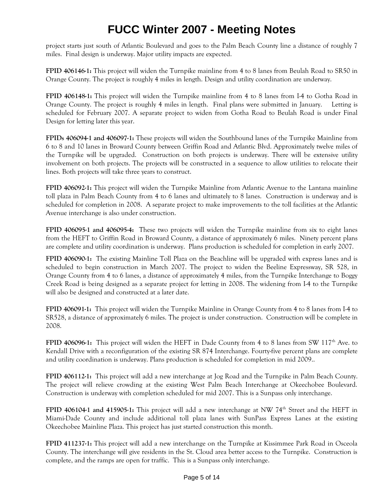project starts just south of Atlantic Boulevard and goes to the Palm Beach County line a distance of roughly 7 miles. Final design is underway. Major utility impacts are expected.

**FPID 406146-1:** This project will widen the Turnpike mainline from 4 to 8 lanes from Beulah Road to SR50 in Orange County. The project is roughly 4 miles in length. Design and utility coordination are underway.

**FPID 406148-1:** This project will widen the Turnpike mainline from 4 to 8 lanes from I-4 to Gotha Road in Orange County. The project is roughly 4 miles in length. Final plans were submitted in January. Letting is scheduled for February 2007. A separate project to widen from Gotha Road to Beulah Road is under Final Design for letting later this year.

**FPIDs 406094-1 and 406097-1:** These projects will widen the Southbound lanes of the Turnpike Mainline from 6 to 8 and 10 lanes in Broward County between Griffin Road and Atlantic Blvd. Approximately twelve miles of the Turnpike will be upgraded. Construction on both projects is underway. There will be extensive utility involvement on both projects. The projects will be constructed in a sequence to allow utilities to relocate their lines. Both projects will take three years to construct.

**FPID 406092-1:** This project will widen the Turnpike Mainline from Atlantic Avenue to the Lantana mainline toll plaza in Palm Beach County from 4 to 6 lanes and ultimately to 8 lanes. Construction is underway and is scheduled for completion in 2008. A separate project to make improvements to the toll facilities at the Atlantic Avenue interchange is also under construction.

**FPID 406095-1 and 406095-4:** These two projects will widen the Turnpike mainline from six to eight lanes from the HEFT to Griffin Road in Broward County, a distance of approximately 6 miles. Ninety percent plans are complete and utility coordination is underway. Plans production is scheduled for completion in early 2007.

**FPID 406090-1:** The existing Mainline Toll Plaza on the Beachline will be upgraded with express lanes and is scheduled to begin construction in March 2007. The project to widen the Beeline Expressway, SR 528, in Orange County from 4 to 6 lanes, a distance of approximately 4 miles, from the Turnpike Interchange to Boggy Creek Road is being designed as a separate project for letting in 2008. The widening from I-4 to the Turnpike will also be designed and constructed at a later date.

**FPID 406091-1:** This project will widen the Turnpike Mainline in Orange County from 4 to 8 lanes from I-4 to SR528, a distance of approximately 6 miles. The project is under construction. Construction will be complete in 2008.

**FPID 406096-1:** This project will widen the HEFT in Dade County from 4 to 8 lanes from SW 117<sup>th</sup> Ave. to Kendall Drive with a reconfiguration of the existing SR 874 Interchange. Fourty-five percent plans are complete and utility coordination is underway. Plans production is scheduled for completion in mid 2009..

**FPID 406112-1:** This project will add a new interchange at Jog Road and the Turnpike in Palm Beach County. The project will relieve crowding at the existing West Palm Beach Interchange at Okeechobee Boulevard. Construction is underway with completion scheduled for mid 2007. This is a Sunpass only interchange.

**FPID 406104-1 and 415905-1:** This project will add a new interchange at NW 74<sup>th</sup> Street and the HEFT in Miami-Dade County and include additional toll plaza lanes with SunPass Express Lanes at the existing Okeechobee Mainline Plaza. This project has just started construction this month.

**FPID 411237-1:** This project will add a new interchange on the Turnpike at Kissimmee Park Road in Osceola County. The interchange will give residents in the St. Cloud area better access to the Turnpike. Construction is complete, and the ramps are open for traffic. This is a Sunpass only interchange.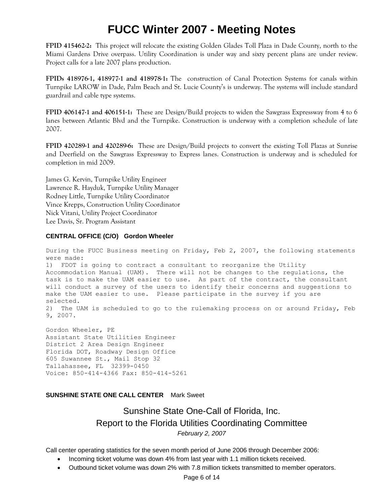**FPID 415462-2:** This project will relocate the existing Golden Glades Toll Plaza in Dade County, north to the Miami Gardens Drive overpass. Utility Coordination is under way and sixty percent plans are under review. Project calls for a late 2007 plans production.

**FPIDs 418976-1, 418977-1 and 418978-1:** The construction of Canal Protection Systems for canals within Turnpike LAROW in Dade, Palm Beach and St. Lucie County's is underway. The systems will include standard guardrail and cable type systems.

**FPID 406147-1 and 406151-1:** These are Design/Build projects to widen the Sawgrass Expressway from 4 to 6 lanes between Atlantic Blvd and the Turnpike. Construction is underway with a completion schedule of late 2007.

**FPID 420289-1 and 420289-6:** These are Design/Build projects to convert the existing Toll Plazas at Sunrise and Deerfield on the Sawgrass Expressway to Express lanes. Construction is underway and is scheduled for completion in mid 2009.

James G. Kervin, Turnpike Utility Engineer Lawrence R. Hayduk, Turnpike Utility Manager Rodney Little, Turnpike Utility Coordinator Vince Krepps, Construction Utility Coordinator Nick Vitani, Utility Project Coordinator Lee Davis, Sr. Program Assistant

### **CENTRAL OFFICE (C/O) Gordon Wheeler**

During the FUCC Business meeting on Friday, Feb 2, 2007, the following statements were made: 1) FDOT is going to contract a consultant to reorganize the Utility Accommodation Manual (UAM). There will not be changes to the regulations, the task is to make the UAM easier to use. As part of the contract, the consultant will conduct a survey of the users to identify their concerns and suggestions to make the UAM easier to use. Please participate in the survey if you are selected. 2) The UAM is scheduled to go to the rulemaking process on or around Friday, Feb 9, 2007.

Gordon Wheeler, PE Assistant State Utilities Engineer District 2 Area Design Engineer Florida DOT, Roadway Design Office 605 Suwannee St., Mail Stop 32 Tallahassee, FL 32399-0450 Voice: 850-414-4366 Fax: 850-414-5261

### **SUNSHINE STATE ONE CALL CENTER** Mark Sweet

### Sunshine State One-Call of Florida, Inc. Report to the Florida Utilities Coordinating Committee *February 2, 2007*

Call center operating statistics for the seven month period of June 2006 through December 2006:

- Incoming ticket volume was down 4% from last year with 1.1 million tickets received.
- Outbound ticket volume was down 2% with 7.8 million tickets transmitted to member operators.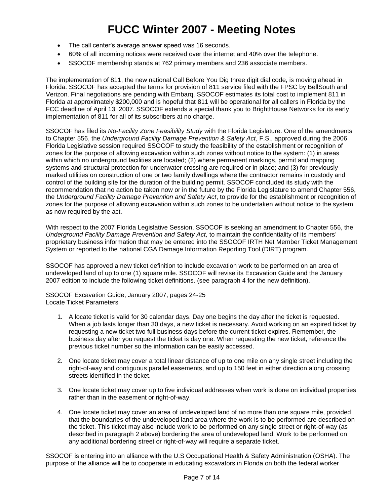- The call center's average answer speed was 16 seconds.
- 60% of all incoming notices were received over the internet and 40% over the telephone.
- SSOCOF membership stands at 762 primary members and 236 associate members.

The implementation of 811, the new national Call Before You Dig three digit dial code, is moving ahead in Florida. SSOCOF has accepted the terms for provision of 811 service filed with the FPSC by BellSouth and Verizon. Final negotiations are pending with Embarq. SSOCOF estimates its total cost to implement 811 in Florida at approximately \$200,000 and is hopeful that 811 will be operational for all callers in Florida by the FCC deadline of April 13, 2007. SSOCOF extends a special thank you to BrightHouse Networks for its early implementation of 811 for all of its subscribers at no charge.

SSOCOF has filed its *No-Facility Zone Feasibility Study* with the Florida Legislature. One of the amendments to Chapter 556, the *Underground Facility Damage Prevention & Safety Act*, F.S., approved during the 2006 Florida Legislative session required SSOCOF to study the feasibility of the establishment or recognition of zones for the purpose of allowing excavation within such zones without notice to the system: (1) in areas within which no underground facilities are located; (2) where permanent markings, permit and mapping systems and structural protection for underwater crossing are required or in place; and (3) for previously marked utilities on construction of one or two family dwellings where the contractor remains in custody and control of the building site for the duration of the building permit. SSOCOF concluded its study with the recommendation that no action be taken now or in the future by the Florida Legislature to amend Chapter 556, the *Underground Facility Damage Prevention and Safety Act*, to provide for the establishment or recognition of zones for the purpose of allowing excavation within such zones to be undertaken without notice to the system as now required by the act.

With respect to the 2007 Florida Legislative Session, SSOCOF is seeking an amendment to Chapter 556, the *Underground Facility Damage Prevention and Safety Act,* to maintain the confidentiality of its members' proprietary business information that may be entered into the SSOCOF IRTH Net Member Ticket Management System or reported to the national CGA Damage Information Reporting Tool (DIRT) program.

SSOCOF has approved a new ticket definition to include excavation work to be performed on an area of undeveloped land of up to one (1) square mile. SSOCOF will revise its Excavation Guide and the January 2007 edition to include the following ticket definitions. (see paragraph 4 for the new definition).

SSOCOF Excavation Guide, January 2007, pages 24-25 Locate Ticket Parameters

- 1. A locate ticket is valid for 30 calendar days. Day one begins the day after the ticket is requested. When a job lasts longer than 30 days, a new ticket is necessary. Avoid working on an expired ticket by requesting a new ticket two full business days before the current ticket expires. Remember, the business day after you request the ticket is day one. When requesting the new ticket, reference the previous ticket number so the information can be easily accessed.
- 2. One locate ticket may cover a total linear distance of up to one mile on any single street including the right-of-way and contiguous parallel easements, and up to 150 feet in either direction along crossing streets identified in the ticket.
- 3. One locate ticket may cover up to five individual addresses when work is done on individual properties rather than in the easement or right-of-way.
- 4. One locate ticket may cover an area of undeveloped land of no more than one square mile, provided that the boundaries of the undeveloped land area where the work is to be performed are described on the ticket. This ticket may also include work to be performed on any single street or right-of-way (as described in paragraph 2 above) bordering the area of undeveloped land. Work to be performed on any additional bordering street or right-of-way will require a separate ticket.

SSOCOF is entering into an alliance with the U.S Occupational Health & Safety Administration (OSHA). The purpose of the alliance will be to cooperate in educating excavators in Florida on both the federal worker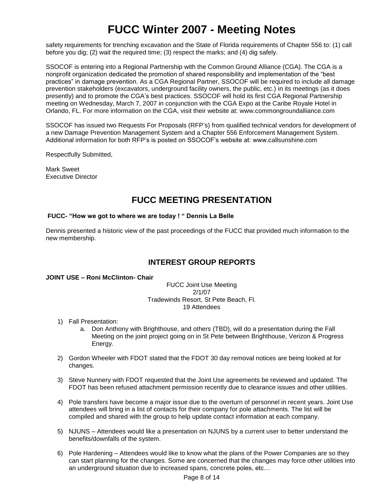safety requirements for trenching excavation and the State of Florida requirements of Chapter 556 to: (1) call before you dig; (2) wait the required time; (3) respect the marks; and (4) dig safely.

SSOCOF is entering into a Regional Partnership with the Common Ground Alliance (CGA). The CGA is a nonprofit organization dedicated the promotion of shared responsibility and implementation of the "best practices" in damage prevention. As a CGA Regional Partner, SSOCOF will be required to include all damage prevention stakeholders (excavators, underground facility owners, the public, etc.) in its meetings (as it does presently) and to promote the CGA's best practices. SSOCOF will hold its first CGA Regional Partnership meeting on Wednesday, March 7, 2007 in conjunction with the CGA Expo at the Caribe Royale Hotel in Orlando, FL. For more information on the CGA, visit their website at: www.commongroundalliance.com

SSOCOF has issued two Requests For Proposals (RFP's) from qualified technical vendors for development of a new Damage Prevention Management System and a Chapter 556 Enforcement Management System. Additional information for both RFP's is posted on SSOCOF's website at: www.callsunshine.com

Respectfully Submitted,

Mark Sweet Executive Director

### **FUCC MEETING PRESENTATION**

### **FUCC- "How we got to where we are today ! " Dennis La Belle**

Dennis presented a historic view of the past proceedings of the FUCC that provided much information to the new membership.

### **INTEREST GROUP REPORTS**

**JOINT USE – Roni McClinton- Chair**

FUCC Joint Use Meeting 2/1/07 Tradewinds Resort, St Pete Beach, Fl. 19 Attendees

- 1) Fall Presentation:
	- a. Don Anthony with Brighthouse, and others (TBD), will do a presentation during the Fall Meeting on the joint project going on in St Pete between Brighthouse, Verizon & Progress Energy.
- 2) Gordon Wheeler with FDOT stated that the FDOT 30 day removal notices are being looked at for changes.
- 3) Steve Nunnery with FDOT requested that the Joint Use agreements be reviewed and updated. The FDOT has been refused attachment permission recently due to clearance issues and other utilities.
- 4) Pole transfers have become a major issue due to the overturn of personnel in recent years. Joint Use attendees will bring in a list of contacts for their company for pole attachments. The list will be compiled and shared with the group to help update contact information at each company.
- 5) NJUNS Attendees would like a presentation on NJUNS by a current user to better understand the benefits/downfalls of the system.
- 6) Pole Hardening Attendees would like to know what the plans of the Power Companies are so they can start planning for the changes. Some are concerned that the changes may force other utilities into an underground situation due to increased spans, concrete poles, etc…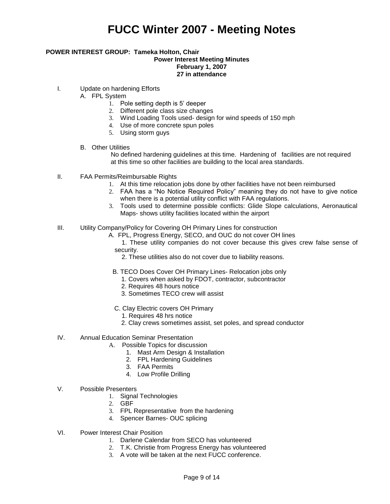### **POWER INTEREST GROUP: Tameka Holton, Chair Power Interest Meeting Minutes February 1, 2007 27 in attendance**

- I. Update on hardening Efforts
	- A. FPL System
		- 1. Pole setting depth is 5' deeper
		- 2. Different pole class size changes
		- 3. Wind Loading Tools used- design for wind speeds of 150 mph
		- 4. Use of more concrete spun poles
		- 5. Using storm guys
	- B. Other Utilities

No defined hardening guidelines at this time. Hardening of facilities are not required at this time so other facilities are building to the local area standards.

- II. FAA Permits/Reimbursable Rights
	- 1. At this time relocation jobs done by other facilities have not been reimbursed
	- 2. FAA has a "No Notice Required Policy" meaning they do not have to give notice when there is a potential utility conflict with FAA regulations.
	- 3. Tools used to determine possible conflicts: Glide Slope calculations, Aeronautical Maps- shows utility facilities located within the airport
- III. Utility Company/Policy for Covering OH Primary Lines for construction
	- A. FPL, Progress Energy, SECO, and OUC do not cover OH lines

 1. These utility companies do not cover because this gives crew false sense of security.

- 2. These utilities also do not cover due to liability reasons.
- B. TECO Does Cover OH Primary Lines- Relocation jobs only
	- 1. Covers when asked by FDOT, contractor, subcontractor
	- 2. Requires 48 hours notice
	- 3. Sometimes TECO crew will assist
- C. Clay Electric covers OH Primary
	- 1. Requires 48 hrs notice
	- 2. Clay crews sometimes assist, set poles, and spread conductor
- IV. Annual Education Seminar Presentation
	- A. Possible Topics for discussion
		- 1. Mast Arm Design & Installation
		- 2. FPL Hardening Guidelines
		- 3. FAA Permits
		- 4. Low Profile Drilling
- V. Possible Presenters
	- 1. Signal Technologies
	- 2. GBF
	- 3. FPL Representative from the hardening
	- 4. Spencer Barnes- OUC splicing
- VI. Power Interest Chair Position
	- 1. Darlene Calendar from SECO has volunteered
	- 2. T.K. Christie from Progress Energy has volunteered
	- 3. A vote will be taken at the next FUCC conference.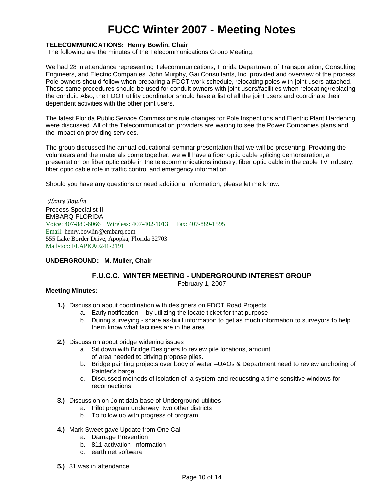### **TELECOMMUNICATIONS: Henry Bowlin, Chair**

The following are the minutes of the Telecommunications Group Meeting:

We had 28 in attendance representing Telecommunications, Florida Department of Transportation, Consulting Engineers, and Electric Companies. John Murphy, Gai Consultants, Inc. provided and overview of the process Pole owners should follow when preparing a FDOT work schedule, relocating poles with joint users attached. These same procedures should be used for conduit owners with joint users/facilities when relocating/replacing the conduit. Also, the FDOT utility coordinator should have a list of all the joint users and coordinate their dependent activities with the other joint users.

The latest Florida Public Service Commissions rule changes for Pole Inspections and Electric Plant Hardening were discussed. All of the Telecommunication providers are waiting to see the Power Companies plans and the impact on providing services.

The group discussed the annual educational seminar presentation that we will be presenting. Providing the volunteers and the materials come together, we will have a fiber optic cable splicing demonstration; a presentation on fiber optic cable in the telecommunications industry; fiber optic cable in the cable TV industry; fiber optic cable role in traffic control and emergency information.

Should you have any questions or need additional information, please let me know.

*Henry Bowlin* Process Specialist II EMBARQ-FLORIDA Voice: 407-889-6066 | Wireless: 407-402-1013 | Fax: 407-889-1595 Email: henry.bowlin@embarq.com 555 Lake Border Drive, Apopka, Florida 32703 Mailstop: FLAPKA0241-2191

### **UNDERGROUND: M. Muller, Chair**

### **F.U.C.C. WINTER MEETING - UNDERGROUND INTEREST GROUP**

February 1, 2007

### **Meeting Minutes:**

- **1.)** Discussion about coordination with designers on FDOT Road Projects
	- a. Early notification by utilizing the locate ticket for that purpose
	- b. During surveying share as-built information to get as much information to surveyors to help them know what facilities are in the area.
- **2.)** Discussion about bridge widening issues
	- a. Sit down with Bridge Designers to review pile locations, amount of area needed to driving propose piles.
	- b. Bridge painting projects over body of water –UAOs & Department need to review anchoring of Painter's barge
	- c. Discussed methods of isolation of a system and requesting a time sensitive windows for reconnections
- **3.)** Discussion on Joint data base of Underground utilities
	- a. Pilot program underwaytwo other districts
	- b. To follow up with progress of program
- **4.)** Mark Sweet gave Update from One Call
	- a. Damage Prevention
	- b. 811 activation information
	- c. earth net software
- **5.)** 31 was in attendance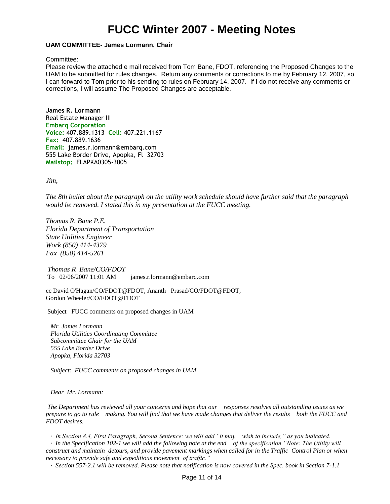#### **UAM COMMITTEE- James Lormann, Chair**

Committee:

Please review the attached e mail received from Tom Bane, FDOT, referencing the Proposed Changes to the UAM to be submitted for rules changes. Return any comments or corrections to me by February 12, 2007, so I can forward to Tom prior to his sending to rules on February 14, 2007. If I do not receive any comments or corrections, I will assume The Proposed Changes are acceptable.

**James R. Lormann** Real Estate Manager III **Embarq Corporation Voice:** 407.889.1313 **Cell:** 407.221.1167 **Fax:** 407.889.1636 **Email:** [james.r.lormann@embarq.com](mailto:james.r.lormann@embarq.com) 555 Lake Border Drive, Apopka, Fl 32703 **Mailstop:** FLAPKA0305-3005

*Jim,* 

*The 8th bullet about the paragraph on the utility work schedule should have further said that the paragraph would be removed. I stated this in my presentation at the FUCC meeting.*

*Thomas R. Bane P.E. Florida Department of Transportation State Utilities Engineer Work (850) 414-4379 Fax (850) 414-5261*

*Thomas R Bane/CO/FDOT* To 02/06/2007 11:01 AM james.r.lormann@embarq.com

cc David O'Hagan/CO/FDOT@FDOT, Ananth Prasad/CO/FDOT@FDOT, Gordon Wheeler/CO/FDOT@FDOT

Subject FUCC comments on proposed changes in UAM

 *Mr. James Lormann Florida Utilities Coordinating Committee Subcommittee Chair for the UAM 555 Lake Border Drive Apopka, Florida 32703*

 *Subject: FUCC comments on proposed changes in UAM*

 *Dear Mr. Lormann:*

*The Department has reviewed all your concerns and hope that our responses resolves all outstanding issues as we prepare to go to rule making. You will find that we have made changes that deliver the results both the FUCC and FDOT desires.*

 *· In Section 8.4, First Paragraph, Second Sentence: we will add "it may wish to include," as you indicated.*

 *· In the Specification 102-1 we will add the following note at the end of the specification "Note: The Utility will construct and maintain detours, and provide pavement markings when called for in the Traffic Control Plan or when necessary to provide safe and expeditious movement of traffic."*

 *· Section 557-2.1 will be removed. Please note that notification is now covered in the Spec. book in Section 7-1.1*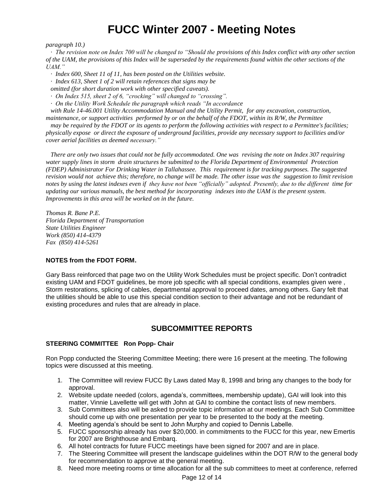*paragraph 10.)*

 *· The revision note on Index 700 will be changed to "Should the provisions of this Index conflict with any other section of the UAM, the provisions of this Index will be superseded by the requirements found within the other sections of the UAM."*

 *· Index 600, Sheet 11 of 11, has been posted on the Utilities website.*

 *· Index 613, Sheet 1 of 2 will retain references that signs may be*

 *omitted (for short duration work with other specified caveats).*

 *· On Index 515, sheet 2 of 6, "crocking" will changed to "crossing".*

 *· On the Utility Work Schedule the paragraph which reads "In accordance*

 *with Rule 14-46.001 Utility Accommodation Manual and the Utility Permit, for any excavation, construction, maintenance, or support activities performed by or on the behalf of the FDOT, within its R/W, the Permittee*

 *may be required by the FDOT or its agents to perform the following activities with respect to a Permittee's facilities; physically expose or direct the exposure of underground facilities, provide any necessary support to facilities and/or cover aerial facilities as deemed necessary."*

 *There are only two issues that could not be fully accommodated. One was revising the note on Index 307 requiring water supply lines in storm drain structures be submitted to the Florida Department of Environmental Protection (FDEP) Administrator For Drinking Water in Tallahassee. This requirement is for tracking purposes. The suggested revision would not achieve this; therefore, no change will be made. The other issue was the suggestion to limit revision notes by using the latest indexes even if they have not been "officially" adopted. Presently, due to the different time for updating our various manuals, the best method for incorporating indexes into the UAM is the present system. Improvements in this area will be worked on in the future.*

*Thomas R. Bane P.E. Florida Department of Transportation State Utilities Engineer Work (850) 414-4379 Fax (850) 414-5261*

### **NOTES from the FDOT FORM.**

Gary Bass reinforced that page two on the Utility Work Schedules must be project specific. Don't contradict existing UAM and FDOT guidelines, be more job specific with all special conditions, examples given were , Storm restorations, splicing of cables, departmental approval to proceed dates, among others. Gary felt that the utilities should be able to use this special condition section to their advantage and not be redundant of existing procedures and rules that are already in place.

### **SUBCOMMITTEE REPORTS**

### **STEERING COMMITTEE Ron Popp- Chair**

Ron Popp conducted the Steering Committee Meeting; there were 16 present at the meeting. The following topics were discussed at this meeting.

- 1. The Committee will review FUCC By Laws dated May 8, 1998 and bring any changes to the body for approval.
- 2. Website update needed (colors, agenda's, committees, membership update), GAI will look into this matter, Vinnie Lavellette will get with John at GAI to combine the contact lists of new members.
- 3. Sub Committees also will be asked to provide topic information at our meetings. Each Sub Committee should come up with one presentation per year to be presented to the body at the meeting.
- 4. Meeting agenda's should be sent to John Murphy and copied to Dennis Labelle.
- 5. FUCC sponsorship already has over \$20,000. in commitments to the FUCC for this year, new Emertis for 2007 are Brighthouse and Embarq.
- 6. All hotel contracts for future FUCC meetings have been signed for 2007 and are in place.
- 7. The Steering Committee will present the landscape guidelines within the DOT R/W to the general body for recommendation to approve at the general meeting.
- 8. Need more meeting rooms or time allocation for all the sub committees to meet at conference, referred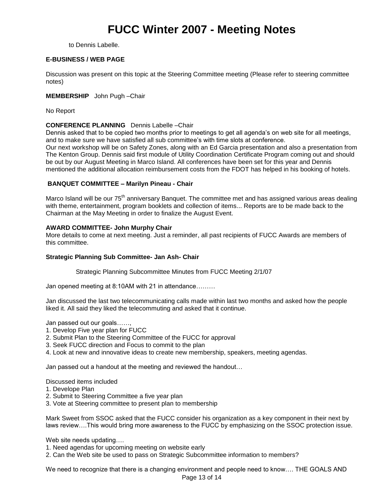to Dennis Labelle.

### **E-BUSINESS / WEB PAGE**

Discussion was present on this topic at the Steering Committee meeting (Please refer to steering committee notes)

### **MEMBERSHIP** John Pugh –Chair

No Report

### **CONFERENCE PLANNING** Dennis Labelle –Chair

Dennis asked that to be copied two months prior to meetings to get all agenda's on web site for all meetings, and to make sure we have satisfied all sub committee's with time slots at conference.

Our next workshop will be on Safety Zones, along with an Ed Garcia presentation and also a presentation from The Kenton Group. Dennis said first module of Utility Coordination Certificate Program coming out and should be out by our August Meeting in Marco Island. All conferences have been set for this year and Dennis mentioned the additional allocation reimbursement costs from the FDOT has helped in his booking of hotels.

### **BANQUET COMMITTEE – Marilyn Pineau - Chair**

Marco Island will be our 75<sup>th</sup> anniversary Banquet. The committee met and has assigned various areas dealing with theme, entertainment, program booklets and collection of items... Reports are to be made back to the Chairman at the May Meeting in order to finalize the August Event.

### **AWARD COMMITTEE- John Murphy Chair**

More details to come at next meeting. Just a reminder, all past recipients of FUCC Awards are members of this committee.

### **Strategic Planning Sub Committee- Jan Ash- Chair**

Strategic Planning Subcommittee Minutes from FUCC Meeting 2/1/07

Jan opened meeting at 8:10AM with 21 in attendance………

Jan discussed the last two telecommunicating calls made within last two months and asked how the people liked it. All said they liked the telecommuting and asked that it continue.

Jan passed out our goals……,

- 1. Develop Five year plan for FUCC
- 2. Submit Plan to the Steering Committee of the FUCC for approval
- 3. Seek FUCC direction and Focus to commit to the plan
- 4. Look at new and innovative ideas to create new membership, speakers, meeting agendas.

Jan passed out a handout at the meeting and reviewed the handout…

Discussed items included

- 1. Develope Plan
- 2. Submit to Steering Committee a five year plan
- 3. Vote at Steering committee to present plan to membership

Mark Sweet from SSOC asked that the FUCC consider his organization as a key component in their next by laws review….This would bring more awareness to the FUCC by emphasizing on the SSOC protection issue.

Web site needs updating....

- 1. Need agendas for upcoming meeting on website early
- 2. Can the Web site be used to pass on Strategic Subcommittee information to members?

We need to recognize that there is a changing environment and people need to know…. THE GOALS AND